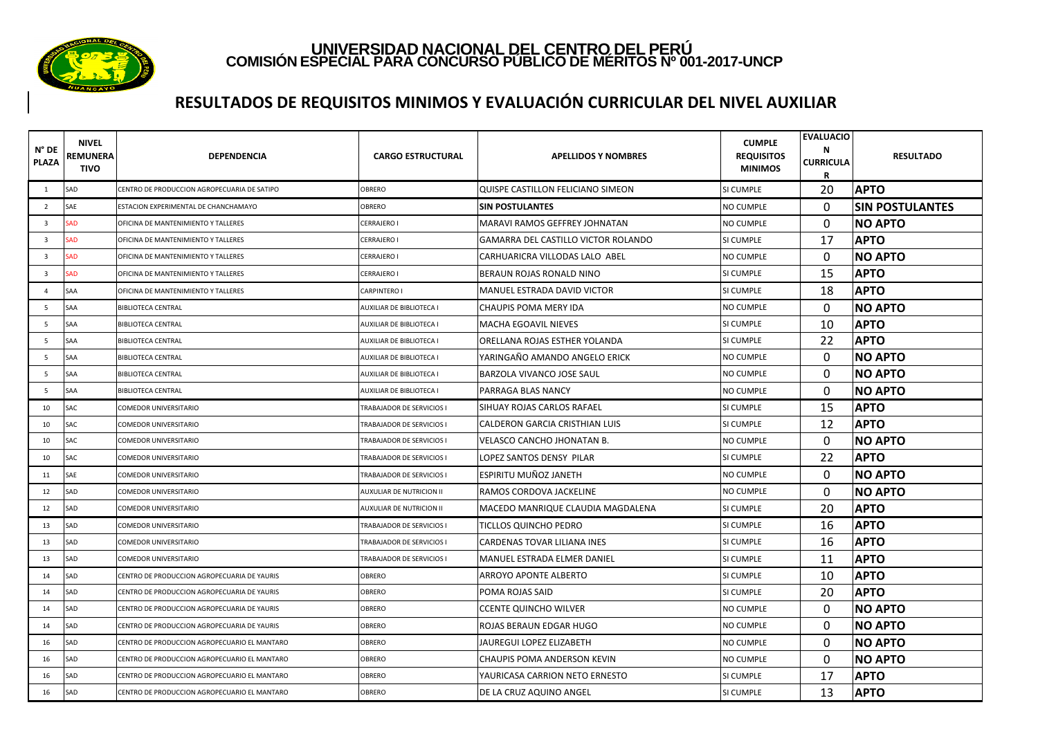

#### **RESULTADOS DE REQUISITOS MINIMOS Y EVALUACIÓN CURRICULAR DEL NIVEL AUXILIAR**

| $N^{\circ}$ DE<br><b>PLAZA</b> | <b>NIVEL</b><br>REMUNERA<br>TIVO | DEPENDENCIA                                  | <b>CARGO ESTRUCTURAL</b>         | <b>APELLIDOS Y NOMBRES</b>                     | <b>CUMPLE</b><br><b>REQUISITOS</b><br><b>MINIMOS</b> | <b>EVALUACIO</b><br>N<br><b>CURRICULA</b><br>R | <b>RESULTADO</b>       |
|--------------------------------|----------------------------------|----------------------------------------------|----------------------------------|------------------------------------------------|------------------------------------------------------|------------------------------------------------|------------------------|
| 1                              | SAD                              | CENTRO DE PRODUCCION AGROPECUARIA DE SATIPO  | <b>OBRERO</b>                    | QUISPE CASTILLON FELICIANO SIMEON<br>SI CUMPLE |                                                      | 20                                             | <b>APTO</b>            |
| 2                              | SAE                              | ESTACION EXPERIMENTAL DE CHANCHAMAYO         | <b>OBRERO</b>                    | <b>SIN POSTULANTES</b>                         | <b>NO CUMPLE</b>                                     | $\Omega$                                       | <b>SIN POSTULANTES</b> |
| $\overline{\mathbf{3}}$        | SAD                              | OFICINA DE MANTENIMIENTO Y TALLERES          | <b>CERRAJERO I</b>               | <b>MARAVI RAMOS GEFFREY JOHNATAN</b>           | <b>NO CUMPLE</b>                                     | $\Omega$                                       | <b>NO APTO</b>         |
| $\overline{\mathbf{3}}$        | <b>SAD</b>                       | OFICINA DE MANTENIMIENTO Y TALLERES          | <b>CERRAJERO I</b>               | GAMARRA DEL CASTILLO VICTOR ROLANDO            | SI CUMPLE                                            | 17                                             | <b>APTO</b>            |
| $\overline{\mathbf{3}}$        | SAD                              | OFICINA DE MANTENIMIENTO Y TALLERES          | CERRAJERO I                      | CARHUARICRA VILLODAS LALO ABEL                 | NO CUMPLE                                            | $\mathbf 0$                                    | <b>NO APTO</b>         |
| 3                              | SAD                              | OFICINA DE MANTENIMIENTO Y TALLERES          | <b>CERRAJERO I</b>               | BERAUN ROJAS RONALD NINO                       | SI CUMPLE                                            | 15                                             | <b>APTO</b>            |
| $\mathbf{A}$                   | SAA                              | OFICINA DE MANTENIMIENTO Y TALLERES          | <b>CARPINTERO I</b>              | MANUEL ESTRADA DAVID VICTOR                    | SI CUMPLE                                            | 18                                             | <b>APTO</b>            |
| 5                              | SAA                              | <b>BIBLIOTECA CENTRAL</b>                    | AUXILIAR DE BIBLIOTECA I         | CHAUPIS POMA MERY IDA                          | NO CUMPLE                                            | $\Omega$                                       | <b>INO APTO</b>        |
| 5                              | SAA                              | <b>BIBLIOTECA CENTRAL</b>                    | AUXILIAR DE BIBLIOTECA I         | MACHA EGOAVIL NIEVES                           | SI CUMPLE                                            | 10                                             | <b>APTO</b>            |
| 5                              | SAA                              | <b>BIBLIOTECA CENTRAL</b>                    | <b>AUXILIAR DE BIBLIOTECA I</b>  | ORELLANA ROJAS ESTHER YOLANDA                  | SI CUMPLE                                            | 22                                             | <b>APTO</b>            |
| - 5                            | SAA                              | <b>BIBLIOTECA CENTRAL</b>                    | AUXILIAR DE BIBLIOTECA I         | YARINGAÑO AMANDO ANGELO ERICK                  | NO CUMPLE                                            | $\mathbf{0}$                                   | <b>NO APTO</b>         |
| 5                              | SAA                              | <b>BIBLIOTECA CENTRAL</b>                    | AUXILIAR DE BIBLIOTECA I         | BARZOLA VIVANCO JOSE SAUL                      | <b>NO CUMPLE</b>                                     | $\mathbf{0}$                                   | <b>NO APTO</b>         |
| -5                             | SAA                              | <b>BIBLIOTECA CENTRAL</b>                    | AUXILIAR DE BIBLIOTECA I         | PARRAGA BLAS NANCY                             | <b>NO CUMPLE</b>                                     | $\Omega$                                       | <b>NO APTO</b>         |
| 10                             | SAC                              | COMEDOR UNIVERSITARIO                        | TRABAJADOR DE SERVICIOS I        | SIHUAY ROJAS CARLOS RAFAEL                     | SI CUMPLE                                            | 15                                             | <b>APTO</b>            |
| 10                             | SAC                              | COMEDOR UNIVERSITARIO                        | TRABAJADOR DE SERVICIOS I        | CALDERON GARCIA CRISTHIAN LUIS                 | SI CUMPLE                                            | 12                                             | <b>APTO</b>            |
| 10                             | SAC                              | COMEDOR UNIVERSITARIO                        | <b>TRABAJADOR DE SERVICIOS I</b> | VELASCO CANCHO JHONATAN B.                     | NO CUMPLE                                            | $\mathbf{0}$                                   | <b>NO APTO</b>         |
| 10                             | <b>SAC</b>                       | COMEDOR UNIVERSITARIO                        | TRABAJADOR DE SERVICIOS I        | LOPEZ SANTOS DENSY PILAR                       | SI CUMPLE                                            | 22                                             | <b>APTO</b>            |
| 11                             | SAE                              | COMEDOR UNIVERSITARIO                        | <b>TRABAJADOR DE SERVICIOS I</b> | ESPIRITU MUÑOZ JANETH                          | <b>NO CUMPLE</b>                                     | $\mathbf{0}$                                   | <b>NO APTO</b>         |
| 12                             | SAD                              | COMEDOR UNIVERSITARIO                        | AUXULIAR DE NUTRICION II         | RAMOS CORDOVA JACKELINE                        | NO CUMPLE                                            | $\mathbf{0}$                                   | <b>NO APTO</b>         |
| 12                             | SAD                              | COMEDOR UNIVERSITARIO                        | AUXULIAR DE NUTRICION II         | MACEDO MANRIQUE CLAUDIA MAGDALENA              | SI CUMPLE                                            | 20                                             | <b>APTO</b>            |
| 13                             | SAD                              | COMEDOR UNIVERSITARIO                        | TRABAJADOR DE SERVICIOS I        | TICLLOS QUINCHO PEDRO                          | SI CUMPLE                                            | 16                                             | <b>APTO</b>            |
| 13                             | SAD                              | COMEDOR UNIVERSITARIO                        | TRABAJADOR DE SERVICIOS I        | CARDENAS TOVAR LILIANA INES                    | SI CUMPLE                                            | 16                                             | <b>APTO</b>            |
| 13                             | SAD                              | COMEDOR UNIVERSITARIO                        | TRABAJADOR DE SERVICIOS I        | MANUEL ESTRADA ELMER DANIEL                    | SI CUMPLE                                            | 11                                             | <b>APTO</b>            |
| 14                             | SAD                              | CENTRO DE PRODUCCION AGROPECUARIA DE YAURIS  | <b>OBRERO</b>                    | <b>ARROYO APONTE ALBERTO</b>                   | SI CUMPLE                                            | 10                                             | <b>APTO</b>            |
| 14                             | SAD                              | CENTRO DE PRODUCCION AGROPECUARIA DE YAURIS  | <b>OBRERO</b>                    | POMA ROJAS SAID                                | SI CUMPLE                                            | 20                                             | <b>APTO</b>            |
| 14                             | SAD                              | CENTRO DE PRODUCCION AGROPECUARIA DE YAURIS  | <b>OBRERO</b>                    | <b>CCENTE QUINCHO WILVER</b>                   | NO CUMPLE                                            | $\mathbf{0}$                                   | <b>NO APTO</b>         |
| 14                             | SAD                              | CENTRO DE PRODUCCION AGROPECUARIA DE YAURIS  | <b>OBRERO</b>                    | ROJAS BERAUN EDGAR HUGO<br><b>NO CUMPLE</b>    |                                                      | $\Omega$                                       | <b>NO APTO</b>         |
| 16                             | SAD                              | CENTRO DE PRODUCCION AGROPECUARIO EL MANTARO | <b>OBRERO</b>                    | JAUREGUI LOPEZ ELIZABETH                       | <b>NO CUMPLE</b>                                     | $\Omega$                                       | <b>INO APTO</b>        |
| 16                             | SAD                              | CENTRO DE PRODUCCION AGROPECUARIO EL MANTARO | <b>OBRERO</b>                    | CHAUPIS POMA ANDERSON KEVIN                    | NO CUMPLE                                            | $\mathbf{0}$                                   | <b>NO APTO</b>         |
| 16                             | SAD                              | CENTRO DE PRODUCCION AGROPECUARIO EL MANTARO | <b>OBRERO</b>                    | YAURICASA CARRION NETO ERNESTO                 | SI CUMPLE                                            | 17                                             | <b>APTO</b>            |
| 16                             | SAD                              | CENTRO DE PRODUCCION AGROPECUARIO EL MANTARO | <b>OBRERO</b>                    | DE LA CRUZ AQUINO ANGEL                        | SI CUMPLE                                            | 13                                             | <b>APTO</b>            |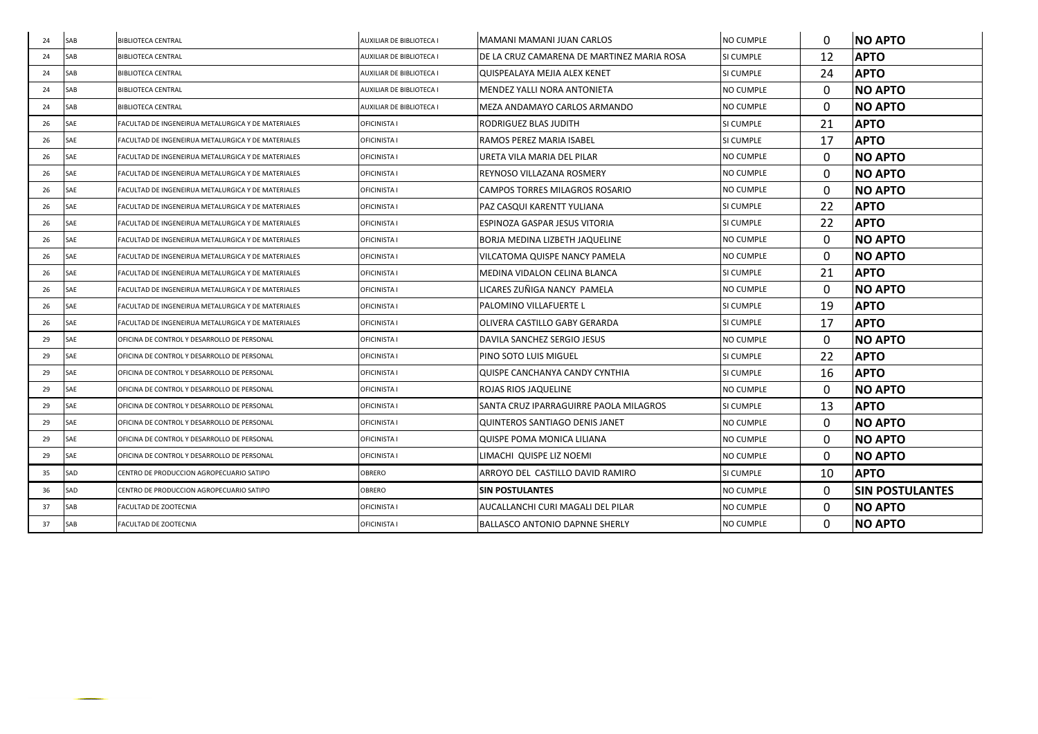| 24 | SAB | <b>BIBLIOTECA CENTRAL</b>                          | <b>AUXILIAR DE BIBLIOTECA I</b> | <b>NO CUMPLE</b><br>IMAMANI MAMANI JUAN CARLOS |                                                | $\Omega$     | <b>NO APTO</b>         |  |
|----|-----|----------------------------------------------------|---------------------------------|------------------------------------------------|------------------------------------------------|--------------|------------------------|--|
| 24 | SAB | <b>BIBLIOTECA CENTRAL</b>                          | <b>NUXILIAR DE BIBLIOTECA I</b> | DE LA CRUZ CAMARENA DE MARTINEZ MARIA ROSA     | SI CUMPLE                                      | 12           | <b>APTO</b>            |  |
| 24 | SAB | <b>BIBLIOTECA CENTRAL</b>                          | <b>NUXILIAR DE BIBLIOTECA I</b> | QUISPEALAYA MEJIA ALEX KENET                   | SI CUMPLE                                      | 24           | <b>APTO</b>            |  |
| 24 | SAB | <b>BIBLIOTECA CENTRAL</b>                          | <b>AUXILIAR DE BIBLIOTECA I</b> | <b>MENDEZ YALLI NORA ANTONIETA</b>             | <b>NO CUMPLE</b>                               | $\mathbf 0$  | <b>NO APTO</b>         |  |
| 24 | SAB | <b>BIBLIOTECA CENTRAL</b>                          | <b>AUXILIAR DE BIBLIOTECA I</b> | MEZA ANDAMAYO CARLOS ARMANDO                   | <b>NO CUMPLE</b>                               | $\Omega$     | <b>NO APTO</b>         |  |
| 26 | SAE | FACULTAD DE INGENEIRUA METALURGICA Y DE MATERIALES | OFICINISTA I                    | <b>RODRIGUEZ BLAS JUDITH</b>                   | SI CUMPLE                                      | 21           | <b>APTO</b>            |  |
| 26 | SAE | FACULTAD DE INGENEIRUA METALURGICA Y DE MATERIALES | OFICINISTA I                    | RAMOS PEREZ MARIA ISABEL                       | SI CUMPLE                                      | 17           | <b>APTO</b>            |  |
| 26 | SAE | FACULTAD DE INGENEIRUA METALURGICA Y DE MATERIALES | OFICINISTA I                    | URETA VILA MARIA DEL PILAR                     | <b>NO CUMPLE</b>                               | 0            | <b>NO APTO</b>         |  |
| 26 | SAE | FACULTAD DE INGENEIRUA METALURGICA Y DE MATERIALES | OFICINISTA I                    | REYNOSO VILLAZANA ROSMERY                      | <b>NO CUMPLE</b>                               | 0            | <b>NO APTO</b>         |  |
| 26 | SAE | FACULTAD DE INGENEIRUA METALURGICA Y DE MATERIALES | OFICINISTA I                    | <b>CAMPOS TORRES MILAGROS ROSARIO</b>          | <b>NO CUMPLE</b>                               | $\Omega$     | <b>NO APTO</b>         |  |
| 26 | SAE | FACULTAD DE INGENEIRUA METALURGICA Y DE MATERIALES | OFICINISTA I                    | PAZ CASQUI KARENTT YULIANA                     | SI CUMPLE                                      | 22           | <b>APTO</b>            |  |
| 26 | SAE | FACULTAD DE INGENEIRUA METALURGICA Y DE MATERIALES | OFICINISTA I                    | ESPINOZA GASPAR JESUS VITORIA                  | SI CUMPLE                                      | 22           | <b>APTO</b>            |  |
| 26 | SAE | FACULTAD DE INGENEIRUA METALURGICA Y DE MATERIALES | OFICINISTA I                    | BORJA MEDINA LIZBETH JAQUELINE                 | <b>NO CUMPLE</b>                               | $\Omega$     | <b>NO APTO</b>         |  |
| 26 | SAE | FACULTAD DE INGENEIRUA METALURGICA Y DE MATERIALES | OFICINISTA I                    | VILCATOMA QUISPE NANCY PAMELA                  | NO CUMPLE                                      | $\Omega$     | <b>NO APTO</b>         |  |
| 26 | SAE | FACULTAD DE INGENEIRUA METALURGICA Y DE MATERIALES | OFICINISTA I                    | SI CUMPLE<br>MEDINA VIDALON CELINA BLANCA      |                                                | 21           | <b>APTO</b>            |  |
| 26 | SAE | FACULTAD DE INGENEIRUA METALURGICA Y DE MATERIALES | OFICINISTA I                    | LICARES ZUÑIGA NANCY PAMELA                    | $\Omega$<br><b>NO APTO</b><br><b>NO CUMPLE</b> |              |                        |  |
| 26 | SAE | FACULTAD DE INGENEIRUA METALURGICA Y DE MATERIALES | OFICINISTA I                    | <b>PALOMINO VILLAFUERTE L</b>                  | SI CUMPLE                                      | 19           | <b>APTO</b>            |  |
| 26 | SAE | FACULTAD DE INGENEIRUA METALURGICA Y DE MATERIALES | OFICINISTA I                    | OLIVERA CASTILLO GABY GERARDA                  | SI CUMPLE                                      | 17           | <b>APTO</b>            |  |
| 29 | SAE | OFICINA DE CONTROL Y DESARROLLO DE PERSONAL        | OFICINISTA I                    | DAVILA SANCHEZ SERGIO JESUS                    | <b>NO CUMPLE</b>                               | $\Omega$     | <b>NO APTO</b>         |  |
| 29 | SAE | OFICINA DE CONTROL Y DESARROLLO DE PERSONAL        | OFICINISTA I                    | <b>PINO SOTO LUIS MIGUEL</b>                   | SI CUMPLE                                      | 22           | <b>APTO</b>            |  |
| 29 | SAE | OFICINA DE CONTROL Y DESARROLLO DE PERSONAL        | OFICINISTA I                    | QUISPE CANCHANYA CANDY CYNTHIA                 | SI CUMPLE                                      | 16           | <b>APTO</b>            |  |
| 29 | SAE | OFICINA DE CONTROL Y DESARROLLO DE PERSONAL        | OFICINISTA I                    | ROJAS RIOS JAQUELINE                           | NO CUMPLE                                      | $\Omega$     | <b>NO APTO</b>         |  |
| 29 | SAE | OFICINA DE CONTROL Y DESARROLLO DE PERSONAL        | OFICINISTA I                    | SANTA CRUZ IPARRAGUIRRE PAOLA MILAGROS         | SI CUMPLE                                      | 13           | <b>APTO</b>            |  |
| 29 | SAE | OFICINA DE CONTROL Y DESARROLLO DE PERSONAL        | OFICINISTA I                    | <b>QUINTEROS SANTIAGO DENIS JANET</b>          | NO CUMPLE                                      | $\mathbf{0}$ | <b>NO APTO</b>         |  |
| 29 | SAE | OFICINA DE CONTROL Y DESARROLLO DE PERSONAL        | OFICINISTA I                    | QUISPE POMA MONICA LILIANA                     | NO CUMPLE                                      | $\Omega$     | <b>NO APTO</b>         |  |
| 29 | SAE | OFICINA DE CONTROL Y DESARROLLO DE PERSONAL        | OFICINISTA I                    | LIMACHI QUISPE LIZ NOEMI                       | NO CUMPLE                                      | $\Omega$     | <b>NO APTO</b>         |  |
| 35 | SAD | CENTRO DE PRODUCCION AGROPECUARIO SATIPO           | <b>OBRERO</b>                   | ARROYO DEL CASTILLO DAVID RAMIRO               | SI CUMPLE                                      | 10           | <b>APTO</b>            |  |
| 36 | SAD | CENTRO DE PRODUCCION AGROPECUARIO SATIPO           | OBRERO                          | <b>SIN POSTULANTES</b>                         | NO CUMPLE                                      | $\Omega$     | <b>SIN POSTULANTES</b> |  |
| 37 | SAB | FACULTAD DE ZOOTECNIA                              | OFICINISTA I                    | AUCALLANCHI CURI MAGALI DEL PILAR              | NO CUMPLE                                      | 0            | <b>NO APTO</b>         |  |
| 37 | SAB | FACULTAD DE ZOOTECNIA                              | OFICINISTA I                    | <b>BALLASCO ANTONIO DAPNNE SHERLY</b>          | <b>NO CUMPLE</b>                               | $\Omega$     | <b>INO APTO</b>        |  |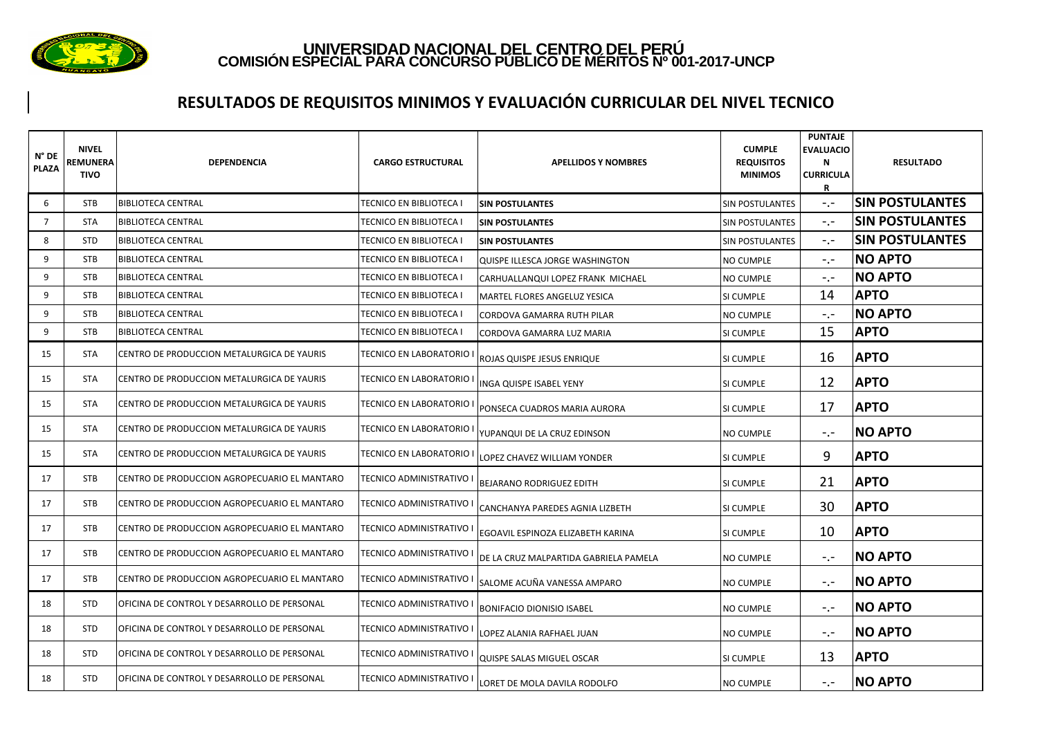

### **RESULTADOS DE REQUISITOS MINIMOS Y EVALUACIÓN CURRICULAR DEL NIVEL TECNICO**

| N° DE<br><b>PLAZA</b> | <b>NIVEL</b><br>REMUNERA<br>TIVO | DEPENDENCIA                                  | <b>CARGO ESTRUCTURAL</b>       | <b>APELLIDOS Y NOMBRES</b>            | <b>CUMPLE</b><br><b>REQUISITOS</b><br><b>MINIMOS</b> | <b>PUNTAJE</b><br><b>EVALUACIO</b><br>N<br><b>CURRICULA</b><br>R | <b>RESULTADO</b>       |
|-----------------------|----------------------------------|----------------------------------------------|--------------------------------|---------------------------------------|------------------------------------------------------|------------------------------------------------------------------|------------------------|
| 6                     | <b>STB</b>                       | <b>BIBLIOTECA CENTRAL</b>                    | TECNICO EN BIBLIOTECA I        | <b>SIN POSTULANTES</b>                | <b>SIN POSTULANTES</b>                               | $-,-$                                                            | <b>SIN POSTULANTES</b> |
| $\overline{7}$        | <b>STA</b>                       | <b>BIBLIOTECA CENTRAL</b>                    | TECNICO EN BIBLIOTECA          | <b>SIN POSTULANTES</b>                | <b>SIN POSTULANTES</b>                               | $-$ . $-$                                                        | <b>SIN POSTULANTES</b> |
| 8                     | <b>STD</b>                       | <b>BIBLIOTECA CENTRAL</b>                    | TECNICO EN BIBLIOTECA          | <b>SIN POSTULANTES</b>                | SIN POSTULANTES                                      | $-$ . $-$                                                        | <b>SIN POSTULANTES</b> |
| 9                     | <b>STB</b>                       | <b>BIBLIOTECA CENTRAL</b>                    | <b>TECNICO EN BIBLIOTECA</b>   | QUISPE ILLESCA JORGE WASHINGTON       | <b>NO CUMPLE</b>                                     | $-$ . $-$                                                        | <b>NO APTO</b>         |
| 9                     | STB                              | <b>BIBLIOTECA CENTRAL</b>                    | TECNICO EN BIBLIOTECA          | CARHUALLANQUI LOPEZ FRANK MICHAEL     | NO CUMPLE                                            | $-1$                                                             | <b>NO APTO</b>         |
| 9                     | <b>STB</b>                       | <b>BIBLIOTECA CENTRAL</b>                    | <b>TECNICO EN BIBLIOTECA</b>   | MARTEL FLORES ANGELUZ YESICA          | SI CUMPLE                                            | 14                                                               | <b>APTO</b>            |
| 9                     | <b>STB</b>                       | <b>BIBLIOTECA CENTRAL</b>                    | <b>TECNICO EN BIBLIOTECA I</b> | CORDOVA GAMARRA RUTH PILAR            | NO CUMPLE                                            | $-1$                                                             | <b>NO APTO</b>         |
| 9                     | <b>STB</b>                       | <b>BIBLIOTECA CENTRAL</b>                    | TECNICO EN BIBLIOTECA I        | CORDOVA GAMARRA LUZ MARIA             | SI CUMPLE                                            | 15                                                               | <b>APTO</b>            |
| 15                    | <b>STA</b>                       | CENTRO DE PRODUCCION METALURGICA DE YAURIS   | TECNICO EN LABORATORIO I       | ROJAS QUISPE JESUS ENRIQUE            | SI CUMPLE                                            | 16                                                               | <b>APTO</b>            |
| 15                    | <b>STA</b>                       | CENTRO DE PRODUCCION METALURGICA DE YAURIS   | TECNICO EN LABORATORIO I       | INGA QUISPE ISABEL YENY               | SI CUMPLE                                            | 12                                                               | <b>APTO</b>            |
| 15                    | <b>STA</b>                       | CENTRO DE PRODUCCION METALURGICA DE YAURIS   | TECNICO EN LABORATORIO I       | PONSECA CUADROS MARIA AURORA          | SI CUMPLE                                            | 17                                                               | <b>APTO</b>            |
| 15                    | <b>STA</b>                       | CENTRO DE PRODUCCION METALURGICA DE YAURIS   | TECNICO EN LABORATORIO I       | YUPANQUI DE LA CRUZ EDINSON           | <b>NO CUMPLE</b>                                     | $-,-$                                                            | <b>NO APTO</b>         |
| 15                    | STA                              | CENTRO DE PRODUCCION METALURGICA DE YAURIS   | TECNICO EN LABORATORIO I       | LOPEZ CHAVEZ WILLIAM YONDER           | SI CUMPLE                                            | 9                                                                | <b>APTO</b>            |
| 17                    | <b>STB</b>                       | CENTRO DE PRODUCCION AGROPECUARIO EL MANTARO | TECNICO ADMINISTRATIVO I       | <b>BEJARANO RODRIGUEZ EDITH</b>       | SI CUMPLE                                            | 21                                                               | <b>APTO</b>            |
| 17                    | <b>STB</b>                       | CENTRO DE PRODUCCION AGROPECUARIO EL MANTARO | TECNICO ADMINISTRATIVO I       | CANCHANYA PAREDES AGNIA LIZBETH       | SI CUMPLE                                            | 30                                                               | <b>APTO</b>            |
| 17                    | <b>STB</b>                       | CENTRO DE PRODUCCION AGROPECUARIO EL MANTARO | TECNICO ADMINISTRATIVO I       | EGOAVIL ESPINOZA ELIZABETH KARINA     | SI CUMPLE                                            | 10                                                               | <b>APTO</b>            |
| 17                    | <b>STB</b>                       | CENTRO DE PRODUCCION AGROPECUARIO EL MANTARO | TECNICO ADMINISTRATIVO I       | DE LA CRUZ MALPARTIDA GABRIELA PAMELA | NO CUMPLE                                            | $-1$                                                             | <b>NO APTO</b>         |
| 17                    | <b>STB</b>                       | CENTRO DE PRODUCCION AGROPECUARIO EL MANTARO | TECNICO ADMINISTRATIVO I       | SALOME ACUÑA VANESSA AMPARO           | <b>NO CUMPLE</b>                                     | $-$ . $-$                                                        | <b>NO APTO</b>         |
| 18                    | <b>STD</b>                       | OFICINA DE CONTROL Y DESARROLLO DE PERSONAL  | TECNICO ADMINISTRATIVO I       | <b>BONIFACIO DIONISIO ISABEL</b>      | NO CUMPLE                                            | $\overline{\phantom{a}}$ .                                       | ∣NO APTO               |
| 18                    | <b>STD</b>                       | OFICINA DE CONTROL Y DESARROLLO DE PERSONAL  | TECNICO ADMINISTRATIVO I       | LOPEZ ALANIA RAFHAEL JUAN             | NO CUMPLE                                            | $\overline{\phantom{a}}$ .                                       | <b>NO APTO</b>         |
| 18                    | <b>STD</b>                       | OFICINA DE CONTROL Y DESARROLLO DE PERSONAL  | TECNICO ADMINISTRATIVO I       | QUISPE SALAS MIGUEL OSCAR             | SI CUMPLE                                            | 13                                                               | <b>APTO</b>            |
| 18                    | <b>STD</b>                       | IOFICINA DE CONTROL Y DESARROLLO DE PERSONAL | TECNICO ADMINISTRATIVO I       | LORET DE MOLA DAVILA RODOLFO          | NO CUMPLE                                            | $-1$                                                             | <b>NO APTO</b>         |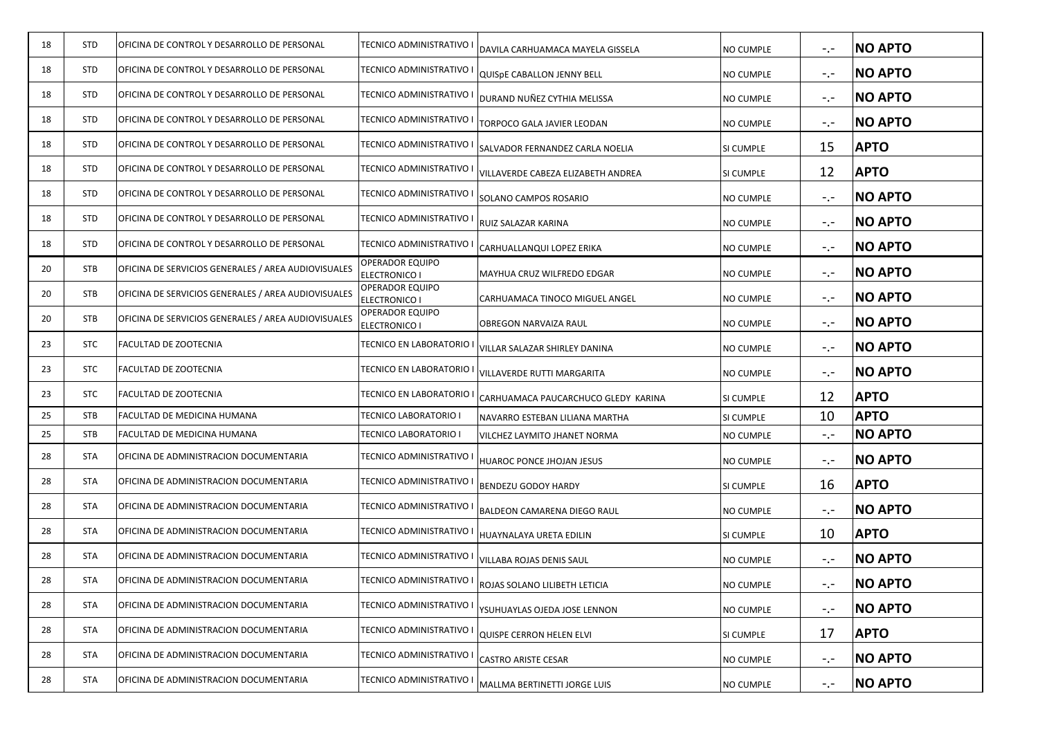| 18 | <b>STD</b> | OFICINA DE CONTROL Y DESARROLLO DE PERSONAL         | TECNICO ADMINISTRATIVO                  | DAVILA CARHUAMACA MAYELA GISSELA                       | NO CUMPLE | $\overline{\phantom{a}}$ . $\overline{\phantom{a}}$                                           | <b>NO APTO</b> |
|----|------------|-----------------------------------------------------|-----------------------------------------|--------------------------------------------------------|-----------|-----------------------------------------------------------------------------------------------|----------------|
| 18 | <b>STD</b> | OFICINA DE CONTROL Y DESARROLLO DE PERSONAL         | TECNICO ADMINISTRATIVO I                | QUISPE CABALLON JENNY BELL                             | NO CUMPLE | $-1$                                                                                          | <b>NO APTO</b> |
| 18 | <b>STD</b> | OFICINA DE CONTROL Y DESARROLLO DE PERSONAL         | TECNICO ADMINISTRATIVO                  | DURAND NUÑEZ CYTHIA MELISSA                            | NO CUMPLE | $\mathord{\hspace{1pt}\text{--}\hspace{1pt}}$ . $\mathord{\hspace{1pt}\text{--}\hspace{1pt}}$ | <b>NO APTO</b> |
| 18 | <b>STD</b> | OFICINA DE CONTROL Y DESARROLLO DE PERSONAL         | TECNICO ADMINISTRATIVO                  | TORPOCO GALA JAVIER LEODAN                             | NO CUMPLE | $-1$                                                                                          | <b>NO APTO</b> |
| 18 | <b>STD</b> | OFICINA DE CONTROL Y DESARROLLO DE PERSONAL         | TECNICO ADMINISTRATIVO I                | SALVADOR FERNANDEZ CARLA NOELIA                        | SI CUMPLE | 15                                                                                            | <b>APTO</b>    |
| 18 | <b>STD</b> | OFICINA DE CONTROL Y DESARROLLO DE PERSONAL         | TECNICO ADMINISTRATIVO I                | VILLAVERDE CABEZA ELIZABETH ANDREA                     | SI CUMPLE | 12                                                                                            | <b>APTO</b>    |
| 18 | <b>STD</b> | OFICINA DE CONTROL Y DESARROLLO DE PERSONAL         | TECNICO ADMINISTRATIVO                  | SOLANO CAMPOS ROSARIO                                  | NO CUMPLE | $\overline{\phantom{a}}$ .                                                                    | <b>NO APTO</b> |
| 18 | <b>STD</b> | OFICINA DE CONTROL Y DESARROLLO DE PERSONAL         | TECNICO ADMINISTRATIVO I                | RUIZ SALAZAR KARINA                                    | NO CUMPLE | $\sim$ . $\sim$                                                                               | <b>NO APTO</b> |
| 18 | <b>STD</b> | OFICINA DE CONTROL Y DESARROLLO DE PERSONAL         | TECNICO ADMINISTRATIVO I                | CARHUALLANQUI LOPEZ ERIKA                              | NO CUMPLE | $-1$                                                                                          | <b>NO APTO</b> |
| 20 | <b>STB</b> | OFICINA DE SERVICIOS GENERALES / AREA AUDIOVISUALES | OPERADOR EQUIPO<br><b>ELECTRONICO I</b> | MAYHUA CRUZ WILFREDO EDGAR                             | NO CUMPLE | $\overline{\phantom{a}}$ .                                                                    | <b>NO APTO</b> |
| 20 | <b>STB</b> | OFICINA DE SERVICIOS GENERALES / AREA AUDIOVISUALES | OPERADOR EQUIPO<br><b>ELECTRONICO I</b> | CARHUAMACA TINOCO MIGUEL ANGEL                         | NO CUMPLE | $-1$                                                                                          | <b>NO APTO</b> |
| 20 | <b>STB</b> | OFICINA DE SERVICIOS GENERALES / AREA AUDIOVISUALES | OPERADOR EQUIPO<br><b>ELECTRONICO I</b> | OBREGON NARVAIZA RAUL                                  | NO CUMPLE | $\overline{\phantom{a}}$ .                                                                    | <b>NO APTO</b> |
| 23 | <b>STC</b> | FACULTAD DE ZOOTECNIA                               | TECNICO EN LABORATORIO I                | VILLAR SALAZAR SHIRLEY DANINA                          | NO CUMPLE | $\mathord{\hspace{1pt}\text{--}\hspace{1pt}}$ . $\mathord{\hspace{1pt}\text{--}\hspace{1pt}}$ | <b>NO APTO</b> |
| 23 | <b>STC</b> | <b>FACULTAD DE ZOOTECNIA</b>                        | TECNICO EN LABORATORIO I                | VILLAVERDE RUTTI MARGARITA                             | NO CUMPLE | $-1$                                                                                          | <b>NO APTO</b> |
| 23 | <b>STC</b> | FACULTAD DE ZOOTECNIA                               | TECNICO EN LABORATORIO I                | CARHUAMACA PAUCARCHUCO GLEDY KARINA                    | SI CUMPLE | 12                                                                                            | <b>APTO</b>    |
| 25 | <b>STB</b> | FACULTAD DE MEDICINA HUMANA                         | TECNICO LABORATORIO I                   | NAVARRO ESTEBAN LILIANA MARTHA                         | SI CUMPLE | 10                                                                                            | <b>APTO</b>    |
| 25 | <b>STB</b> | FACULTAD DE MEDICINA HUMANA                         | TECNICO LABORATORIO I                   | VILCHEZ LAYMITO JHANET NORMA                           | NO CUMPLE | $-1$                                                                                          | <b>NO APTO</b> |
| 28 | <b>STA</b> | OFICINA DE ADMINISTRACION DOCUMENTARIA              | TECNICO ADMINISTRATIVO                  | HUAROC PONCE JHOJAN JESUS                              | NO CUMPLE | $-1$                                                                                          | <b>NO APTO</b> |
| 28 | <b>STA</b> | OFICINA DE ADMINISTRACION DOCUMENTARIA              | TECNICO ADMINISTRATIVO                  | <b>BENDEZU GODOY HARDY</b>                             | SI CUMPLE | 16                                                                                            | <b>APTO</b>    |
| 28 | <b>STA</b> | OFICINA DE ADMINISTRACION DOCUMENTARIA              | TECNICO ADMINISTRATIVO I                | BALDEON CAMARENA DIEGO RAUL                            | NO CUMPLE | $-1$                                                                                          | <b>NO APTO</b> |
| 28 | <b>STA</b> | OFICINA DE ADMINISTRACION DOCUMENTARIA              | TECNICO ADMINISTRATIVO                  | HUAYNALAYA URETA EDILIN                                | SI CUMPLE | 10                                                                                            | <b>APTO</b>    |
| 28 | <b>STA</b> | OFICINA DE ADMINISTRACION DOCUMENTARIA              | TECNICO ADMINISTRATIVO                  | VILLABA ROJAS DENIS SAUL                               | NO CUMPLE | $-1$                                                                                          | <b>NO APTO</b> |
| 28 | <b>STA</b> | OFICINA DE ADMINISTRACION DOCUMENTARIA              |                                         | TECNICO ADMINISTRATIVO I ROJAS SOLANO LILIBETH LETICIA | NO CUMPLE |                                                                                               | <b>NO APTO</b> |
| 28 | <b>STA</b> | OFICINA DE ADMINISTRACION DOCUMENTARIA              | TECNICO ADMINISTRATIVO                  | YSUHUAYLAS OJEDA JOSE LENNON                           | NO CUMPLE | $-$ .-                                                                                        | <b>NO APTO</b> |
| 28 | <b>STA</b> | OFICINA DE ADMINISTRACION DOCUMENTARIA              | TECNICO ADMINISTRATIVO                  | QUISPE CERRON HELEN ELVI                               | SI CUMPLE | 17                                                                                            | <b>APTO</b>    |
| 28 | <b>STA</b> | OFICINA DE ADMINISTRACION DOCUMENTARIA              | TECNICO ADMINISTRATIVO I                | <b>CASTRO ARISTE CESAR</b>                             | NO CUMPLE | $\sim$ . $\sim$                                                                               | <b>NO APTO</b> |
| 28 | <b>STA</b> | OFICINA DE ADMINISTRACION DOCUMENTARIA              | TECNICO ADMINISTRATIVO                  | MALLMA BERTINETTI JORGE LUIS                           | NO CUMPLE | $\mathord{\hspace{1pt}\text{--}\hspace{1pt}}$ . $\mathord{\hspace{1pt}\text{--}\hspace{1pt}}$ | <b>NO APTO</b> |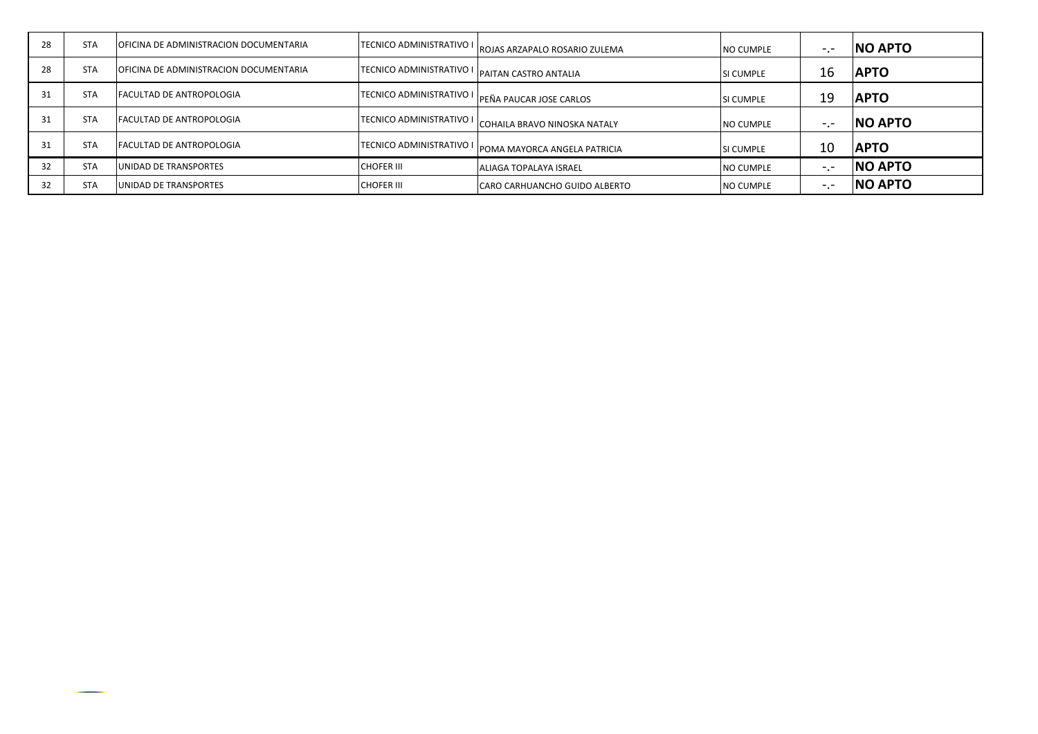| 28 | <b>STA</b> | <b>OFICINA DE ADMINISTRACION DOCUMENTARIA</b> |                                                         | TECNICO ADMINISTRATIVO I ROJAS ARZAPALO ROSARIO ZULEMA<br><b>NO CUMPLE</b> |                  | $-1$ | <b>NO APTO</b> |
|----|------------|-----------------------------------------------|---------------------------------------------------------|----------------------------------------------------------------------------|------------------|------|----------------|
| 28 | <b>STA</b> | <b>OFICINA DE ADMINISTRACION DOCUMENTARIA</b> | <b>TECNICO ADMINISTRATIVO I   PAITAN CASTRO ANTALIA</b> |                                                                            | <b>SI CUMPLE</b> | 16   | <b>APTO</b>    |
|    | <b>STA</b> | <b>FACULTAD DE ANTROPOLOGIA</b>               |                                                         | TECNICO ADMINISTRATIVO I PEÑA PAUCAR JOSE CARLOS                           | <b>SI CUMPLE</b> | 19   | <b>APTO</b>    |
|    | <b>STA</b> | <b>FACULTAD DE ANTROPOLOGIA</b>               |                                                         | TECNICO ADMINISTRATIVO I COHAILA BRAVO NINOSKA NATALY                      | <b>NO CUMPLE</b> | $-1$ | <b>NO APTO</b> |
|    | <b>STA</b> | <b>FACULTAD DE ANTROPOLOGIA</b>               |                                                         | TECNICO ADMINISTRATIVO I   POMA MAYORCA ANGELA PATRICIA                    | <b>SI CUMPLE</b> | 10   | <b>APTO</b>    |
| 32 | <b>STA</b> | <b>UNIDAD DE TRANSPORTES</b>                  | <b>CHOFER III</b>                                       | <b>JALIAGA TOPALAYA ISRAEL</b>                                             | <b>NO CUMPLE</b> | $-1$ | <b>NO APTO</b> |
|    | <b>STA</b> | <b>UNIDAD DE TRANSPORTES</b>                  | <b>CHOFER III</b>                                       | ICARO CARHUANCHO GUIDO ALBERTO                                             | <b>NO CUMPLE</b> | −.−  | <b>NO APTO</b> |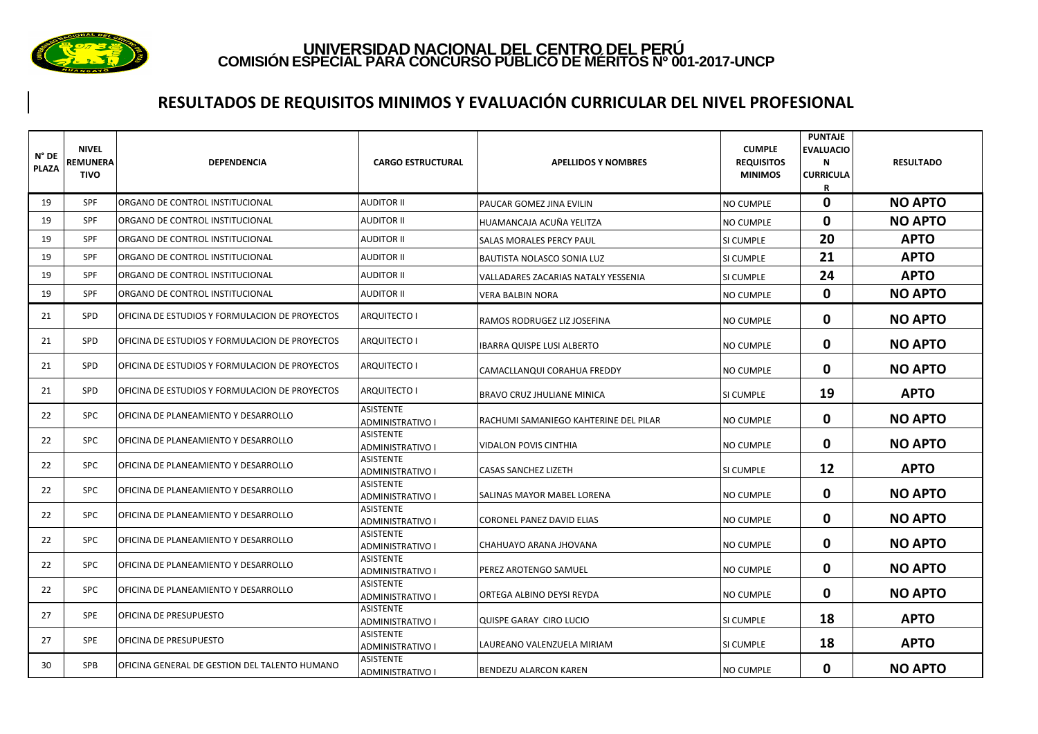

### **RESULTADOS DE REQUISITOS MINIMOS Y EVALUACIÓN CURRICULAR DEL NIVEL PROFESIONAL**

| N° DE<br><b>PLAZA</b> | <b>NIVEL</b><br>REMUNERA<br>TIVO | <b>DEPENDENCIA</b>                              | <b>CARGO ESTRUCTURAL</b>             | <b>APELLIDOS Y NOMBRES</b>            | <b>CUMPLE</b><br><b>REQUISITOS</b><br><b>MINIMOS</b> | <b>PUNTAJE</b><br><b>EVALUACIO</b><br>N<br><b>CURRICULA</b><br>R | <b>RESULTADO</b> |
|-----------------------|----------------------------------|-------------------------------------------------|--------------------------------------|---------------------------------------|------------------------------------------------------|------------------------------------------------------------------|------------------|
| 19                    | <b>SPF</b>                       | ORGANO DE CONTROL INSTITUCIONAL                 | AUDITOR II                           | PAUCAR GOMEZ JINA EVILIN              | <b>NO CUMPLE</b>                                     | 0                                                                | <b>NO APTO</b>   |
| 19                    | <b>SPF</b>                       | ORGANO DE CONTROL INSTITUCIONAL                 | AUDITOR II                           | HUAMANCAJA ACUÑA YELITZA              | <b>NO CUMPLE</b>                                     | 0                                                                | <b>NO APTO</b>   |
| 19                    | <b>SPF</b>                       | ORGANO DE CONTROL INSTITUCIONAL                 | <b>AUDITOR II</b>                    | SALAS MORALES PERCY PAUL              | SI CUMPLE                                            | 20                                                               | <b>APTO</b>      |
| 19                    | <b>SPF</b>                       | ORGANO DE CONTROL INSTITUCIONAL                 | AUDITOR II                           | <b>BAUTISTA NOLASCO SONIA LUZ</b>     | SI CUMPLE                                            | 21                                                               | <b>APTO</b>      |
| 19                    | <b>SPF</b>                       | ORGANO DE CONTROL INSTITUCIONAL                 | <b>AUDITOR II</b>                    | VALLADARES ZACARIAS NATALY YESSENIA   | SI CUMPLE                                            | 24                                                               | <b>APTO</b>      |
| 19                    | <b>SPF</b>                       | ORGANO DE CONTROL INSTITUCIONAL                 | AUDITOR II                           | VERA BALBIN NORA                      | <b>NO CUMPLE</b>                                     | $\mathbf 0$                                                      | <b>NO APTO</b>   |
| 21                    | <b>SPD</b>                       | OFICINA DE ESTUDIOS Y FORMULACION DE PROYECTOS  | ARQUITECTO I                         | RAMOS RODRUGEZ LIZ JOSEFINA           | <b>NO CUMPLE</b>                                     | 0                                                                | <b>NO APTO</b>   |
| 21                    | <b>SPD</b>                       | IOFICINA DE ESTUDIOS Y FORMULACION DE PROYECTOS | <b>ARQUITECTO I</b>                  | <b>IBARRA QUISPE LUSI ALBERTO</b>     | <b>NO CUMPLE</b>                                     | 0                                                                | <b>NO APTO</b>   |
| 21                    | <b>SPD</b>                       | OFICINA DE ESTUDIOS Y FORMULACION DE PROYECTOS  | ARQUITECTO I                         | CAMACLLANQUI CORAHUA FREDDY           | <b>NO CUMPLE</b>                                     | 0                                                                | <b>NO APTO</b>   |
| 21                    | SPD                              | OFICINA DE ESTUDIOS Y FORMULACION DE PROYECTOS  | ARQUITECTO I                         | BRAVO CRUZ JHULIANE MINICA            | SI CUMPLE                                            | 19                                                               | <b>APTO</b>      |
| 22                    | <b>SPC</b>                       | OFICINA DE PLANEAMIENTO Y DESARROLLO            | ASISTENTE<br>ADMINISTRATIVO I        | RACHUMI SAMANIEGO KAHTERINE DEL PILAR | <b>NO CUMPLE</b>                                     | 0                                                                | <b>NO APTO</b>   |
| 22                    | <b>SPC</b>                       | OFICINA DE PLANEAMIENTO Y DESARROLLO            | ASISTENTE<br>ADMINISTRATIVO I        | <b>VIDALON POVIS CINTHIA</b>          | <b>NO CUMPLE</b>                                     | 0                                                                | <b>NO APTO</b>   |
| 22                    | <b>SPC</b>                       | OFICINA DE PLANEAMIENTO Y DESARROLLO            | ASISTENTE<br>ADMINISTRATIVO I        | <b>CASAS SANCHEZ LIZETH</b>           | SI CUMPLE                                            | 12                                                               | <b>APTO</b>      |
| 22                    | <b>SPC</b>                       | OFICINA DE PLANEAMIENTO Y DESARROLLO            | <b>ASISTENTE</b><br>ADMINISTRATIVO I | SALINAS MAYOR MABEL LORENA            | <b>NO CUMPLE</b>                                     | 0                                                                | <b>NO APTO</b>   |
| 22                    | <b>SPC</b>                       | OFICINA DE PLANEAMIENTO Y DESARROLLO            | <b>ASISTENTE</b><br>ADMINISTRATIVO I | CORONEL PANEZ DAVID ELIAS             | <b>NO CUMPLE</b>                                     | 0                                                                | <b>NO APTO</b>   |
| 22                    | <b>SPC</b>                       | OFICINA DE PLANEAMIENTO Y DESARROLLO            | <b>ASISTENTE</b><br>ADMINISTRATIVO I | CHAHUAYO ARANA JHOVANA                | NO CUMPLE                                            | 0                                                                | <b>NO APTO</b>   |
| 22                    | <b>SPC</b>                       | OFICINA DE PLANEAMIENTO Y DESARROLLO            | <b>ASISTENTE</b><br>ADMINISTRATIVO I | PEREZ AROTENGO SAMUEL                 | <b>NO CUMPLE</b>                                     | 0                                                                | <b>NO APTO</b>   |
| 22                    | <b>SPC</b>                       | OFICINA DE PLANEAMIENTO Y DESARROLLO            | ASISTENTE<br>ADMINISTRATIVO I        | ORTEGA ALBINO DEYSI REYDA             | <b>NO CUMPLE</b>                                     | 0                                                                | <b>NO APTO</b>   |
| 27                    | <b>SPE</b>                       | OFICINA DE PRESUPUESTO                          | <b>ASISTENTE</b><br>ADMINISTRATIVO I | <b>QUISPE GARAY CIRO LUCIO</b>        | SI CUMPLE                                            | 18                                                               | <b>APTO</b>      |
| 27                    | <b>SPE</b>                       | <b>OFICINA DE PRESUPUESTO</b>                   | <b>ASISTENTE</b><br>ADMINISTRATIVO I | LAUREANO VALENZUELA MIRIAM            | SI CUMPLE                                            | 18                                                               | <b>APTO</b>      |
| 30                    | <b>SPB</b>                       | OFICINA GENERAL DE GESTION DEL TALENTO HUMANO   | ASISTENTE<br>ADMINISTRATIVO I        | <b>BENDEZU ALARCON KAREN</b>          | <b>NO CUMPLE</b>                                     | 0                                                                | <b>NO APTO</b>   |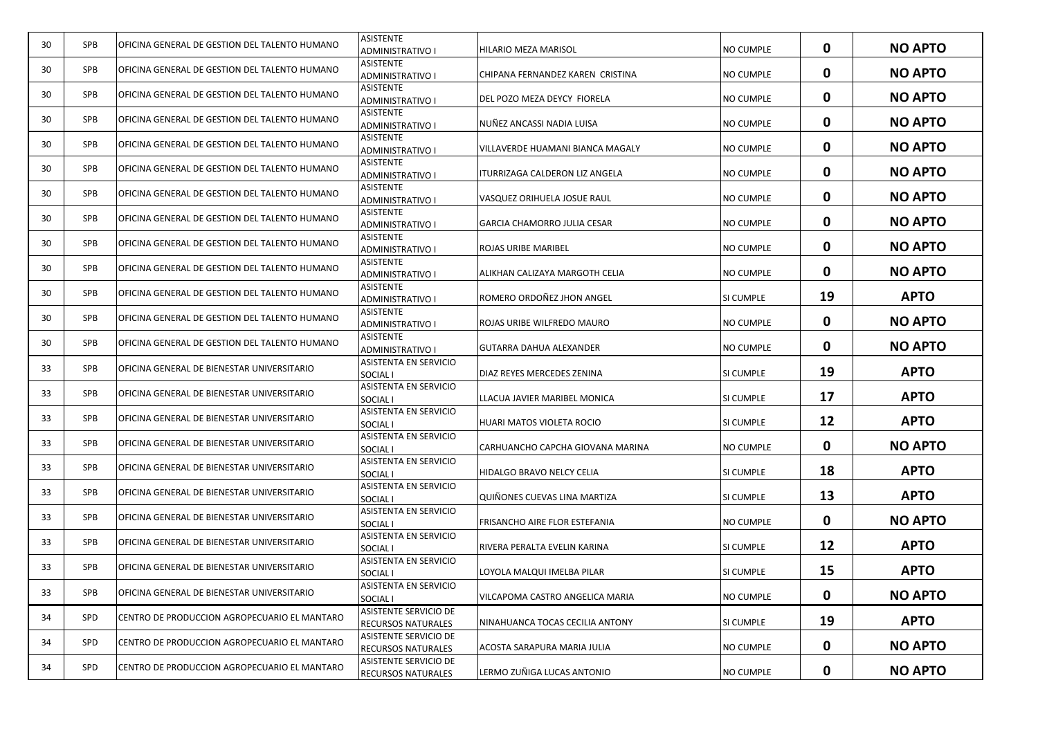| 30 | SPB        | OFICINA GENERAL DE GESTION DEL TALENTO HUMANO | ASISTENTE<br><b>ADMINISTRATIVO I</b>        | HILARIO MEZA MARISOL             | <b>NO CUMPLE</b> | 0  | <b>NO APTO</b> |
|----|------------|-----------------------------------------------|---------------------------------------------|----------------------------------|------------------|----|----------------|
| 30 | SPB        | OFICINA GENERAL DE GESTION DEL TALENTO HUMANO | ASISTENTE                                   |                                  |                  |    |                |
|    |            |                                               | <b>ADMINISTRATIVO I</b>                     | CHIPANA FERNANDEZ KAREN CRISTINA | <b>NO CUMPLE</b> | 0  | <b>NO APTO</b> |
| 30 | <b>SPB</b> | OFICINA GENERAL DE GESTION DEL TALENTO HUMANO | ASISTENTE<br><b>ADMINISTRATIVO I</b>        | DEL POZO MEZA DEYCY FIORELA      | <b>NO CUMPLE</b> | 0  | <b>NO APTO</b> |
| 30 | SPB        | OFICINA GENERAL DE GESTION DEL TALENTO HUMANO | <b>ASISTENTE</b><br><b>ADMINISTRATIVO I</b> | NUÑEZ ANCASSI NADIA LUISA        | <b>NO CUMPLE</b> | 0  | <b>NO APTO</b> |
|    |            |                                               | ASISTENTE                                   |                                  |                  |    |                |
| 30 | SPB        | OFICINA GENERAL DE GESTION DEL TALENTO HUMANO | ADMINISTRATIVO I                            | VILLAVERDE HUAMANI BIANCA MAGALY | <b>NO CUMPLE</b> | 0  | <b>NO APTO</b> |
| 30 | SPB        | OFICINA GENERAL DE GESTION DEL TALENTO HUMANO | ASISTENTE<br><b>ADMINISTRATIVO I</b>        | ITURRIZAGA CALDERON LIZ ANGELA   | <b>NO CUMPLE</b> | 0  | <b>NO APTO</b> |
| 30 | <b>SPB</b> | OFICINA GENERAL DE GESTION DEL TALENTO HUMANO | ASISTENTE<br><b>ADMINISTRATIVO I</b>        | VASQUEZ ORIHUELA JOSUE RAUL      | <b>NO CUMPLE</b> | 0  | <b>NO APTO</b> |
| 30 | SPB        | OFICINA GENERAL DE GESTION DEL TALENTO HUMANO | <b>ASISTENTE</b>                            |                                  |                  |    | <b>NO APTO</b> |
|    |            |                                               | <b>ADMINISTRATIVO I</b>                     | GARCIA CHAMORRO JULIA CESAR      | <b>NO CUMPLE</b> | 0  |                |
| 30 | <b>SPB</b> | OFICINA GENERAL DE GESTION DEL TALENTO HUMANO | ASISTENTE<br><b>ADMINISTRATIVO I</b>        | ROJAS URIBE MARIBEL              | <b>NO CUMPLE</b> | 0  | <b>NO APTO</b> |
| 30 | <b>SPB</b> | OFICINA GENERAL DE GESTION DEL TALENTO HUMANO | ASISTENTE<br>ADMINISTRATIVO I               | ALIKHAN CALIZAYA MARGOTH CELIA   | <b>NO CUMPLE</b> | 0  | <b>NO APTO</b> |
| 30 | SPB        | OFICINA GENERAL DE GESTION DEL TALENTO HUMANO | <b>ASISTENTE</b><br>ADMINISTRATIVO I        | ROMERO ORDOÑEZ JHON ANGEL        | SI CUMPLE        | 19 | <b>APTO</b>    |
|    |            |                                               | <b>ASISTENTE</b>                            |                                  |                  |    |                |
| 30 | SPB        | OFICINA GENERAL DE GESTION DEL TALENTO HUMANO | <b>ADMINISTRATIVO I</b>                     | ROJAS URIBE WILFREDO MAURO       | <b>NO CUMPLE</b> | 0  | <b>NO APTO</b> |
| 30 | <b>SPB</b> | OFICINA GENERAL DE GESTION DEL TALENTO HUMANO | ASISTENTE<br><b>ADMINISTRATIVO I</b>        | <b>GUTARRA DAHUA ALEXANDER</b>   | <b>NO CUMPLE</b> | 0  | <b>NO APTO</b> |
| 33 | <b>SPB</b> | OFICINA GENERAL DE BIENESTAR UNIVERSITARIO    | ASISTENTA EN SERVICIO                       |                                  |                  |    |                |
|    |            |                                               | SOCIAL I                                    | DIAZ REYES MERCEDES ZENINA       | SI CUMPLE        | 19 | <b>APTO</b>    |
| 33 | SPB        | OFICINA GENERAL DE BIENESTAR UNIVERSITARIO    | <b>ASISTENTA EN SERVICIO</b><br>SOCIAL I    | LLACUA JAVIER MARIBEL MONICA     | SI CUMPLE        | 17 | <b>APTO</b>    |
| 33 | SPB        | OFICINA GENERAL DE BIENESTAR UNIVERSITARIO    | ASISTENTA EN SERVICIO                       |                                  |                  |    |                |
|    |            |                                               | SOCIAL I                                    | HUARI MATOS VIOLETA ROCIO        | SI CUMPLE        | 12 | <b>APTO</b>    |
| 33 | <b>SPB</b> | OFICINA GENERAL DE BIENESTAR UNIVERSITARIO    | ASISTENTA EN SERVICIO<br>SOCIAL I           | CARHUANCHO CAPCHA GIOVANA MARINA | <b>NO CUMPLE</b> | 0  | <b>NO APTO</b> |
| 33 | <b>SPB</b> | OFICINA GENERAL DE BIENESTAR UNIVERSITARIO    | ASISTENTA EN SERVICIO                       |                                  |                  |    |                |
|    |            |                                               | SOCIAL I                                    | HIDALGO BRAVO NELCY CELIA        | SI CUMPLE        | 18 | <b>APTO</b>    |
| 33 | SPB        | OFICINA GENERAL DE BIENESTAR UNIVERSITARIO    | <b>ASISTENTA EN SERVICIO</b><br>SOCIAL I    | QUIÑONES CUEVAS LINA MARTIZA     | SI CUMPLE        | 13 | <b>APTO</b>    |
|    |            |                                               | ASISTENTA EN SERVICIO                       |                                  |                  |    |                |
| 33 | <b>SPB</b> | OFICINA GENERAL DE BIENESTAR UNIVERSITARIO    | SOCIAL I                                    | FRISANCHO AIRE FLOR ESTEFANIA    | <b>NO CUMPLE</b> | 0  | <b>NO APTO</b> |
| 33 | SPB        | OFICINA GENERAL DE BIENESTAR UNIVERSITARIO    | <b>ASISTENTA EN SERVICIO</b><br>SOCIAL I    | RIVERA PERALTA EVELIN KARINA     | SI CUMPLE        | 12 | <b>APTO</b>    |
|    |            |                                               | ASISTENTA EN SERVICIO                       |                                  |                  |    |                |
| 33 | SPB        | OFICINA GENERAL DE BIENESTAR UNIVERSITARIO    | SOCIAL I                                    | LOYOLA MALQUI IMELBA PILAR       | <b>SI CUMPLE</b> | 15 | <b>APTO</b>    |
| 33 | SPB        | OFICINA GENERAL DE BIENESTAR UNIVERSITARIO    | ASISTENTA EN SERVICIO<br>SOCIAL I           | VILCAPOMA CASTRO ANGELICA MARIA  | NO CUMPLE        | 0  | <b>NO APTO</b> |
| 34 | SPD        | CENTRO DE PRODUCCION AGROPECUARIO EL MANTARO  | ASISTENTE SERVICIO DE                       |                                  |                  |    |                |
|    |            |                                               | RECURSOS NATURALES                          | NINAHUANCA TOCAS CECILIA ANTONY  | SI CUMPLE        | 19 | <b>APTO</b>    |
|    |            |                                               |                                             |                                  |                  |    |                |
| 34 | SPD        | CENTRO DE PRODUCCION AGROPECUARIO EL MANTARO  | ASISTENTE SERVICIO DE<br>RECURSOS NATURALES | ACOSTA SARAPURA MARIA JULIA      | <b>NO CUMPLE</b> | 0  | <b>NO APTO</b> |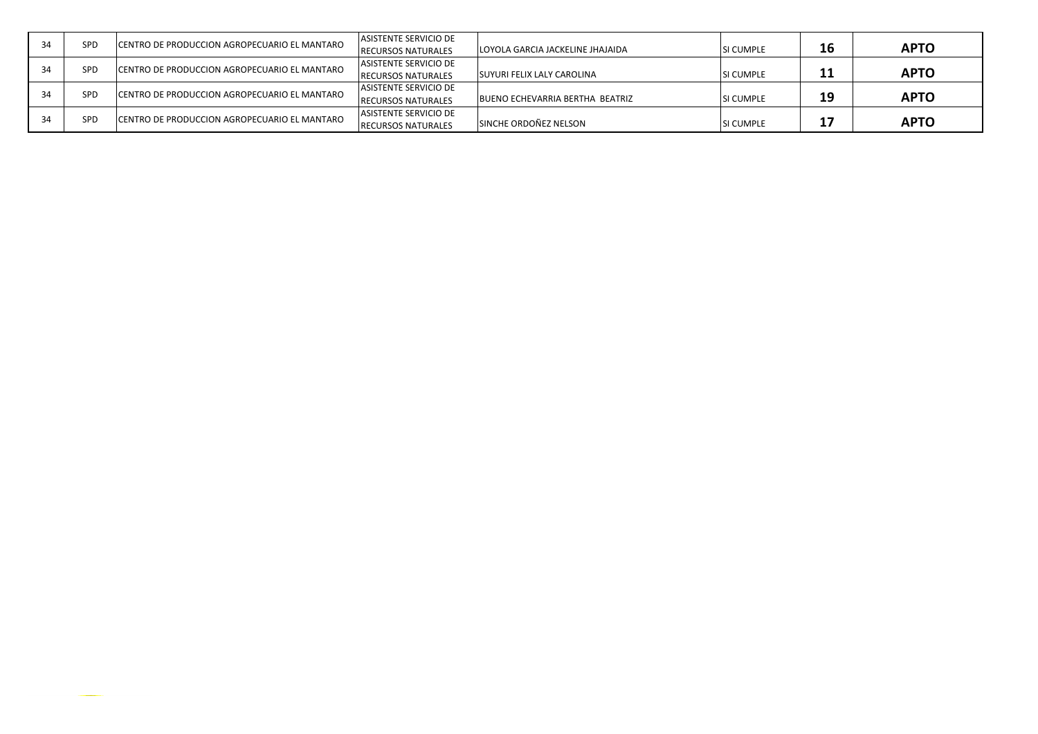| SPD        | CENTRO DE PRODUCCION AGROPECUARIO EL MANTARO | <b>ASISTENTE SERVICIO DE</b><br><b>RECURSOS NATURALES</b> | LOYOLA GARCIA JACKELINE JHAJAIDA  | <b>SI CUMPLE</b> | 16 | <b>APTO</b> |
|------------|----------------------------------------------|-----------------------------------------------------------|-----------------------------------|------------------|----|-------------|
| SPD        | CENTRO DE PRODUCCION AGROPECUARIO EL MANTARO | ASISTENTE SERVICIO DE<br><b>RECURSOS NATURALES</b>        | <b>SUYURI FELIX LALY CAROLINA</b> | <b>SI CUMPLE</b> | 11 | <b>APTO</b> |
| SPD        | CENTRO DE PRODUCCION AGROPECUARIO EL MANTARO | <b>ASISTENTE SERVICIO DE</b><br><b>RECURSOS NATURALES</b> | BUENO ECHEVARRIA BERTHA BEATRIZ   | SI CUMPLE        | 19 | <b>APTO</b> |
| <b>SPD</b> | CENTRO DE PRODUCCION AGROPECUARIO EL MANTARO | <b>ASISTENTE SERVICIO DE</b><br><b>RECURSOS NATURALES</b> | <b>SINCHE ORDOÑEZ NELSON</b>      | SI CUMPLE        | 17 | <b>APTO</b> |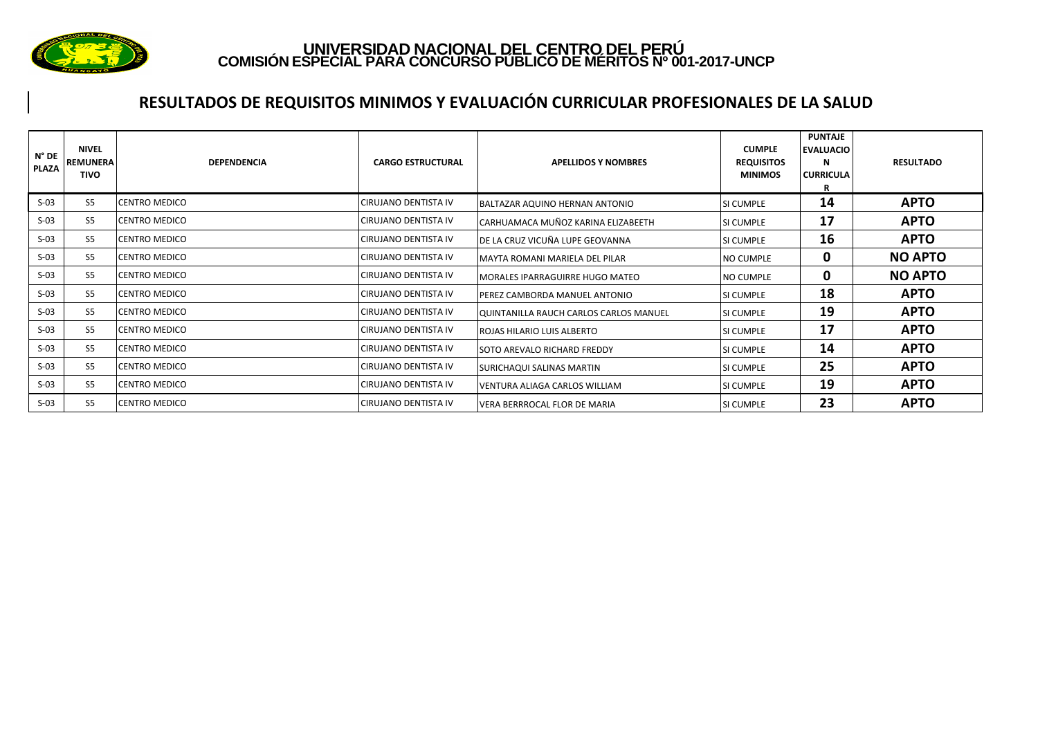

## **RESULTADOS DE REQUISITOS MINIMOS Y EVALUACIÓN CURRICULAR PROFESIONALES DE LA SALUD**

| $N^{\circ}$ DE<br><b>PLAZA</b> | <b>NIVEL</b><br><b>REMUNERA</b><br><b>TIVO</b> | <b>DEPENDENCIA</b>   | <b>CARGO ESTRUCTURAL</b>    | <b>APELLIDOS Y NOMBRES</b>             | <b>CUMPLE</b><br><b>REQUISITOS</b><br><b>MINIMOS</b> | <b>PUNTAJE</b><br><b>EVALUACIO</b><br>N<br><b>CURRICULA</b> | <b>RESULTADO</b> |
|--------------------------------|------------------------------------------------|----------------------|-----------------------------|----------------------------------------|------------------------------------------------------|-------------------------------------------------------------|------------------|
| $S-03$                         | S <sub>5</sub>                                 | <b>CENTRO MEDICO</b> | <b>CIRUJANO DENTISTA IV</b> | BALTAZAR AQUINO HERNAN ANTONIO         | SI CUMPLE                                            | 14                                                          | <b>APTO</b>      |
| $S-03$                         | S <sub>5</sub>                                 | <b>CENTRO MEDICO</b> | CIRUJANO DENTISTA IV        | CARHUAMACA MUÑOZ KARINA ELIZABEETH     | SI CUMPLE                                            | 17                                                          | <b>APTO</b>      |
| $S-03$                         | S5                                             | <b>CENTRO MEDICO</b> | CIRUJANO DENTISTA IV        | IDE LA CRUZ VICUÑA LUPE GEOVANNA       | <b>SI CUMPLE</b>                                     | 16                                                          | <b>APTO</b>      |
| $S-03$                         | S <sub>5</sub>                                 | <b>CENTRO MEDICO</b> | CIRUJANO DENTISTA IV        | MAYTA ROMANI MARIELA DEL PILAR         | <b>NO CUMPLE</b>                                     | 0                                                           | <b>NO APTO</b>   |
| $S-03$                         | S <sub>5</sub>                                 | <b>CENTRO MEDICO</b> | CIRUJANO DENTISTA IV        | <b>MORALES IPARRAGUIRRE HUGO MATEO</b> | <b>NO CUMPLE</b>                                     | 0                                                           | <b>NO APTO</b>   |
| $S-03$                         | S <sub>5</sub>                                 | <b>CENTRO MEDICO</b> | <b>CIRUJANO DENTISTA IV</b> | IPEREZ CAMBORDA MANUEL ANTONIO         | <b>SI CUMPLE</b>                                     | 18                                                          | <b>APTO</b>      |
| $S-03$                         | S <sub>5</sub>                                 | <b>CENTRO MEDICO</b> | <b>CIRUJANO DENTISTA IV</b> | QUINTANILLA RAUCH CARLOS CARLOS MANUEL | SI CUMPLE                                            | 19                                                          | <b>APTO</b>      |
| $S-03$                         | S <sub>5</sub>                                 | <b>CENTRO MEDICO</b> | <b>CIRUJANO DENTISTA IV</b> | ROJAS HILARIO LUIS ALBERTO             | SI CUMPLE                                            | 17                                                          | <b>APTO</b>      |
| $S-03$                         | S <sub>5</sub>                                 | <b>CENTRO MEDICO</b> | <b>CIRUJANO DENTISTA IV</b> | <b>SOTO AREVALO RICHARD FREDDY</b>     | SI CUMPLE                                            | 14                                                          | <b>APTO</b>      |
| $S-03$                         | S <sub>5</sub>                                 | <b>CENTRO MEDICO</b> | <b>CIRUJANO DENTISTA IV</b> | SURICHAQUI SALINAS MARTIN              | SI CUMPLE                                            | 25                                                          | <b>APTO</b>      |
| $S-03$                         | S <sub>5</sub>                                 | <b>CENTRO MEDICO</b> | <b>CIRUJANO DENTISTA IV</b> | VENTURA ALIAGA CARLOS WILLIAM          | SI CUMPLE                                            | 19                                                          | <b>APTO</b>      |
| $S-03$                         | S <sub>5</sub>                                 | <b>CENTRO MEDICO</b> | <b>CIRUJANO DENTISTA IV</b> | VERA BERRROCAL FLOR DE MARIA           | SI CUMPLE                                            | 23                                                          | <b>APTO</b>      |